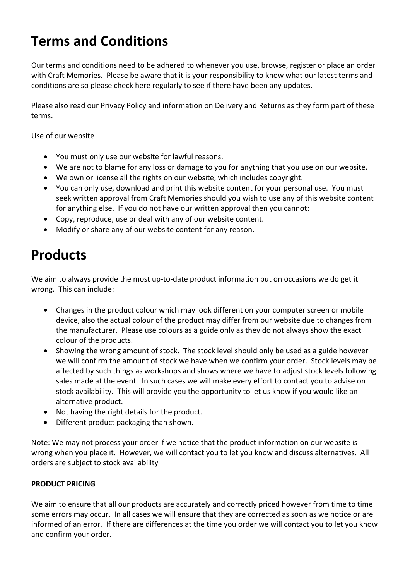# **Terms and Conditions**

Our terms and conditions need to be adhered to whenever you use, browse, register or place an order with Craft Memories. Please be aware that it is your responsibility to know what our latest terms and conditions are so please check here regularly to see if there have been any updates.

Please also read our Privacy Policy and information on Delivery and Returns as they form part of these terms.

Use of our website

- You must only use our website for lawful reasons.
- We are not to blame for any loss or damage to you for anything that you use on our website.
- We own or license all the rights on our website, which includes copyright.
- You can only use, download and print this website content for your personal use. You must seek written approval from Craft Memories should you wish to use any of this website content for anything else. If you do not have our written approval then you cannot:
- Copy, reproduce, use or deal with any of our website content.
- Modify or share any of our website content for any reason.

# **Products**

We aim to always provide the most up-to-date product information but on occasions we do get it wrong. This can include:

- Changes in the product colour which may look different on your computer screen or mobile device, also the actual colour of the product may differ from our website due to changes from the manufacturer. Please use colours as a guide only as they do not always show the exact colour of the products.
- Showing the wrong amount of stock. The stock level should only be used as a guide however we will confirm the amount of stock we have when we confirm your order. Stock levels may be affected by such things as workshops and shows where we have to adjust stock levels following sales made at the event. In such cases we will make every effort to contact you to advise on stock availability. This will provide you the opportunity to let us know if you would like an alternative product.
- Not having the right details for the product.
- Different product packaging than shown.

Note: We may not process your order if we notice that the product information on our website is wrong when you place it. However, we will contact you to let you know and discuss alternatives. All orders are subject to stock availability

#### **PRODUCT PRICING**

We aim to ensure that all our products are accurately and correctly priced however from time to time some errors may occur. In all cases we will ensure that they are corrected as soon as we notice or are informed of an error. If there are differences at the time you order we will contact you to let you know and confirm your order.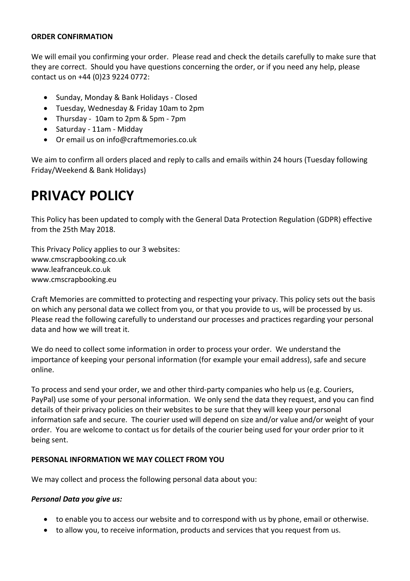#### **ORDER CONFIRMATION**

We will email you confirming your order. Please read and check the details carefully to make sure that they are correct. Should you have questions concerning the order, or if you need any help, please contact us on +44 (0)23 9224 0772:

- Sunday, Monday & Bank Holidays Closed
- Tuesday, Wednesday & Friday 10am to 2pm
- Thursday 10am to 2pm & 5pm 7pm
- Saturday 11am Midday
- Or email us on info@craftmemories.co.uk

We aim to confirm all orders placed and reply to calls and emails within 24 hours (Tuesday following Friday/Weekend & Bank Holidays)

# **PRIVACY POLICY**

This Policy has been updated to comply with the General Data Protection Regulation (GDPR) effective from the 25th May 2018.

This Privacy Policy applies to our 3 websites: www.cmscrapbooking.co.uk www.leafranceuk.co.uk www.cmscrapbooking.eu

Craft Memories are committed to protecting and respecting your privacy. This policy sets out the basis on which any personal data we collect from you, or that you provide to us, will be processed by us. Please read the following carefully to understand our processes and practices regarding your personal data and how we will treat it.

We do need to collect some information in order to process your order. We understand the importance of keeping your personal information (for example your email address), safe and secure online.

To process and send your order, we and other third-party companies who help us (e.g. Couriers, PayPal) use some of your personal information. We only send the data they request, and you can find details of their privacy policies on their websites to be sure that they will keep your personal information safe and secure. The courier used will depend on size and/or value and/or weight of your order. You are welcome to contact us for details of the courier being used for your order prior to it being sent.

#### **PERSONAL INFORMATION WE MAY COLLECT FROM YOU**

We may collect and process the following personal data about you:

#### *Personal Data you give us:*

- to enable you to access our website and to correspond with us by phone, email or otherwise.
- to allow you, to receive information, products and services that you request from us.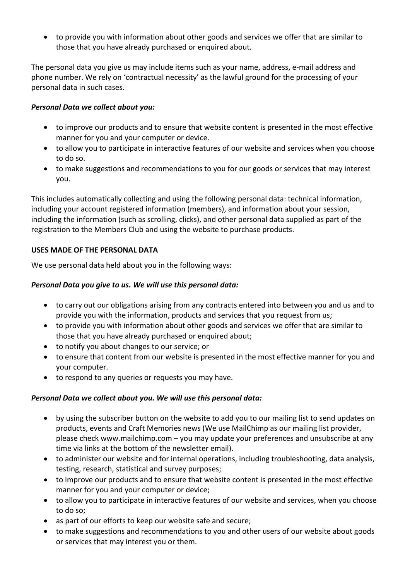to provide you with information about other goods and services we offer that are similar to those that you have already purchased or enquired about.

The personal data you give us may include items such as your name, address, e‐mail address and phone number. We rely on 'contractual necessity' as the lawful ground for the processing of your personal data in such cases.

### *Personal Data we collect about you:*

- to improve our products and to ensure that website content is presented in the most effective manner for you and your computer or device.
- to allow you to participate in interactive features of our website and services when you choose to do so.
- to make suggestions and recommendations to you for our goods or services that may interest you.

This includes automatically collecting and using the following personal data: technical information, including your account registered information (members), and information about your session, including the information (such as scrolling, clicks), and other personal data supplied as part of the registration to the Members Club and using the website to purchase products.

### **USES MADE OF THE PERSONAL DATA**

We use personal data held about you in the following ways:

### *Personal Data you give to us. We will use this personal data:*

- to carry out our obligations arising from any contracts entered into between you and us and to provide you with the information, products and services that you request from us;
- to provide you with information about other goods and services we offer that are similar to those that you have already purchased or enquired about;
- to notify you about changes to our service; or
- to ensure that content from our website is presented in the most effective manner for you and your computer.
- to respond to any queries or requests you may have.

## *Personal Data we collect about you. We will use this personal data:*

- by using the subscriber button on the website to add you to our mailing list to send updates on products, events and Craft Memories news (We use MailChimp as our mailing list provider, please check www.mailchimp.com – you may update your preferences and unsubscribe at any time via links at the bottom of the newsletter email).
- to administer our website and for internal operations, including troubleshooting, data analysis, testing, research, statistical and survey purposes;
- to improve our products and to ensure that website content is presented in the most effective manner for you and your computer or device;
- to allow you to participate in interactive features of our website and services, when you choose to do so;
- as part of our efforts to keep our website safe and secure;
- to make suggestions and recommendations to you and other users of our website about goods or services that may interest you or them.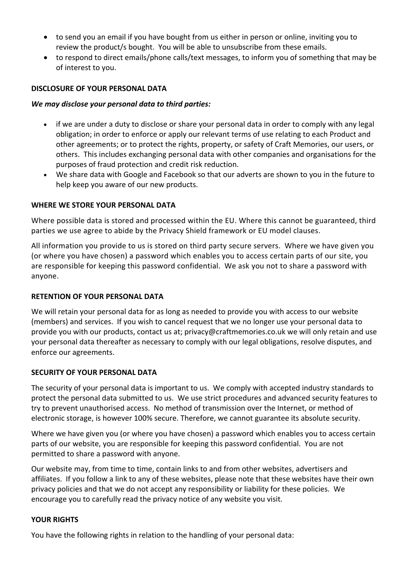- to send you an email if you have bought from us either in person or online, inviting you to review the product/s bought. You will be able to unsubscribe from these emails.
- to respond to direct emails/phone calls/text messages, to inform you of something that may be of interest to you.

#### **DISCLOSURE OF YOUR PERSONAL DATA**

#### *We may disclose your personal data to third parties:*

- if we are under a duty to disclose or share your personal data in order to comply with any legal obligation; in order to enforce or apply our relevant terms of use relating to each Product and other agreements; or to protect the rights, property, or safety of Craft Memories, our users, or others. This includes exchanging personal data with other companies and organisations for the purposes of fraud protection and credit risk reduction.
- We share data with Google and Facebook so that our adverts are shown to you in the future to help keep you aware of our new products.

#### **WHERE WE STORE YOUR PERSONAL DATA**

Where possible data is stored and processed within the EU. Where this cannot be guaranteed, third parties we use agree to abide by the Privacy Shield framework or EU model clauses.

All information you provide to us is stored on third party secure servers. Where we have given you (or where you have chosen) a password which enables you to access certain parts of our site, you are responsible for keeping this password confidential. We ask you not to share a password with anyone.

#### **RETENTION OF YOUR PERSONAL DATA**

We will retain your personal data for as long as needed to provide you with access to our website (members) and services. If you wish to cancel request that we no longer use your personal data to provide you with our products, contact us at; privacy@craftmemories.co.uk we will only retain and use your personal data thereafter as necessary to comply with our legal obligations, resolve disputes, and enforce our agreements.

#### **SECURITY OF YOUR PERSONAL DATA**

The security of your personal data is important to us. We comply with accepted industry standards to protect the personal data submitted to us. We use strict procedures and advanced security features to try to prevent unauthorised access. No method of transmission over the Internet, or method of electronic storage, is however 100% secure. Therefore, we cannot guarantee its absolute security.

Where we have given you (or where you have chosen) a password which enables you to access certain parts of our website, you are responsible for keeping this password confidential. You are not permitted to share a password with anyone.

Our website may, from time to time, contain links to and from other websites, advertisers and affiliates. If you follow a link to any of these websites, please note that these websites have their own privacy policies and that we do not accept any responsibility or liability for these policies. We encourage you to carefully read the privacy notice of any website you visit.

#### **YOUR RIGHTS**

You have the following rights in relation to the handling of your personal data: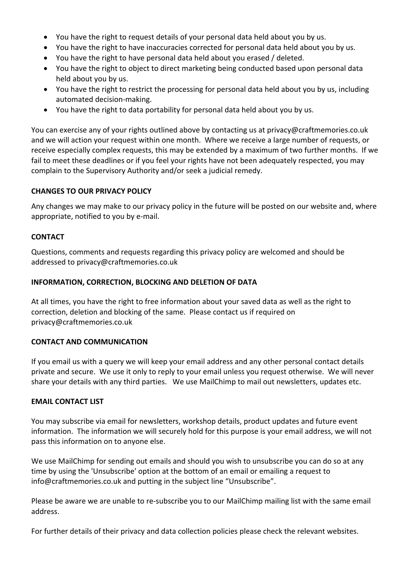- You have the right to request details of your personal data held about you by us.
- You have the right to have inaccuracies corrected for personal data held about you by us.
- You have the right to have personal data held about you erased / deleted.
- You have the right to object to direct marketing being conducted based upon personal data held about you by us.
- You have the right to restrict the processing for personal data held about you by us, including automated decision‐making.
- You have the right to data portability for personal data held about you by us.

You can exercise any of your rights outlined above by contacting us at privacy@craftmemories.co.uk and we will action your request within one month. Where we receive a large number of requests, or receive especially complex requests, this may be extended by a maximum of two further months. If we fail to meet these deadlines or if you feel your rights have not been adequately respected, you may complain to the Supervisory Authority and/or seek a judicial remedy.

#### **CHANGES TO OUR PRIVACY POLICY**

Any changes we may make to our privacy policy in the future will be posted on our website and, where appropriate, notified to you by e‐mail.

#### **CONTACT**

Questions, comments and requests regarding this privacy policy are welcomed and should be addressed to privacy@craftmemories.co.uk

#### **INFORMATION, CORRECTION, BLOCKING AND DELETION OF DATA**

At all times, you have the right to free information about your saved data as well as the right to correction, deletion and blocking of the same. Please contact us if required on privacy@craftmemories.co.uk

#### **CONTACT AND COMMUNICATION**

If you email us with a query we will keep your email address and any other personal contact details private and secure. We use it only to reply to your email unless you request otherwise. We will never share your details with any third parties. We use MailChimp to mail out newsletters, updates etc.

#### **EMAIL CONTACT LIST**

You may subscribe via email for newsletters, workshop details, product updates and future event information. The information we will securely hold for this purpose is your email address, we will not pass this information on to anyone else.

We use MailChimp for sending out emails and should you wish to unsubscribe you can do so at any time by using the 'Unsubscribe' option at the bottom of an email or emailing a request to info@craftmemories.co.uk and putting in the subject line "Unsubscribe".

Please be aware we are unable to re‐subscribe you to our MailChimp mailing list with the same email address.

For further details of their privacy and data collection policies please check the relevant websites.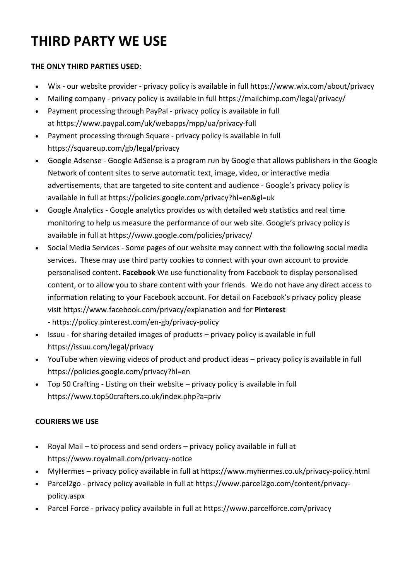# **THIRD PARTY WE USE**

## **THE ONLY THIRD PARTIES USED**:

- Wix ‐ our website provider ‐ privacy policy is available in full https://www.wix.com/about/privacy
- Mailing company privacy policy is available in full https://mailchimp.com/legal/privacy/
- Payment processing through PayPal ‐ privacy policy is available in full at https://www.paypal.com/uk/webapps/mpp/ua/privacy‐full
- Payment processing through Square ‐ privacy policy is available in full https://squareup.com/gb/legal/privacy
- Google Adsense ‐ Google AdSense is a program run by Google that allows publishers in the Google Network of content sites to serve automatic text, image, video, or interactive media advertisements, that are targeted to site content and audience ‐ Google's privacy policy is available in full at https://policies.google.com/privacy?hl=en&gl=uk
- Google Analytics ‐ Google analytics provides us with detailed web statistics and real time monitoring to help us measure the performance of our web site. Google's privacy policy is available in full at https://www.google.com/policies/privacy/
- Social Media Services Some pages of our website may connect with the following social media services. These may use third party cookies to connect with your own account to provide personalised content. **Facebook** We use functionality from Facebook to display personalised content, or to allow you to share content with your friends. We do not have any direct access to information relating to your Facebook account. For detail on Facebook's privacy policy please visit https://www.facebook.com/privacy/explanation and for **Pinterest** ‐ https://policy.pinterest.com/en‐gb/privacy‐policy
- Issuu for sharing detailed images of products privacy policy is available in full https://issuu.com/legal/privacy
- YouTube when viewing videos of product and product ideas privacy policy is available in full https://policies.google.com/privacy?hl=en
- Top 50 Crafting ‐ Listing on their website privacy policy is available in full https://www.top50crafters.co.uk/index.php?a=priv

# **COURIERS WE USE**

- Royal Mail to process and send orders privacy policy available in full at https://www.royalmail.com/privacy‐notice
- MyHermes privacy policy available in full at https://www.myhermes.co.uk/privacy-policy.html
- Parcel2go ‐ privacy policy available in full at https://www.parcel2go.com/content/privacy‐ policy.aspx
- Parcel Force privacy policy available in full at https://www.parcelforce.com/privacy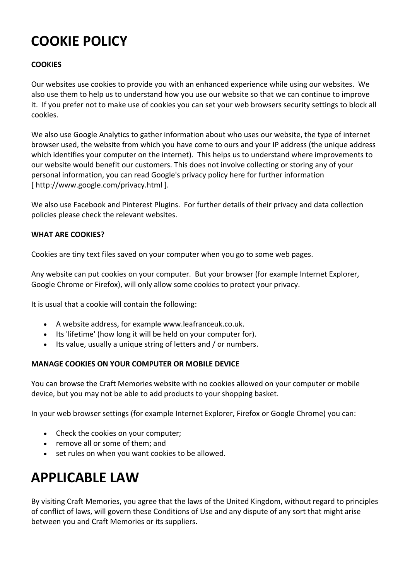# **COOKIE POLICY**

### **COOKIES**

Our websites use cookies to provide you with an enhanced experience while using our websites. We also use them to help us to understand how you use our website so that we can continue to improve it. If you prefer not to make use of cookies you can set your web browsers security settings to block all cookies.

We also use Google Analytics to gather information about who uses our website, the type of internet browser used, the website from which you have come to ours and your IP address (the unique address which identifies your computer on the internet). This helps us to understand where improvements to our website would benefit our customers. This does not involve collecting or storing any of your personal information, you can read Google's privacy policy here for further information [ http://www.google.com/privacy.html ].

We also use Facebook and Pinterest Plugins. For further details of their privacy and data collection policies please check the relevant websites.

#### **WHAT ARE COOKIES?**

Cookies are tiny text files saved on your computer when you go to some web pages.

Any website can put cookies on your computer. But your browser (for example Internet Explorer, Google Chrome or Firefox), will only allow some cookies to protect your privacy.

It is usual that a cookie will contain the following:

- A website address, for example www.leafranceuk.co.uk.
- Its 'lifetime' (how long it will be held on your computer for).
- Its value, usually a unique string of letters and / or numbers.

#### **MANAGE COOKIES ON YOUR COMPUTER OR MOBILE DEVICE**

You can browse the Craft Memories website with no cookies allowed on your computer or mobile device, but you may not be able to add products to your shopping basket.

In your web browser settings (for example Internet Explorer, Firefox or Google Chrome) you can:

- Check the cookies on your computer;
- remove all or some of them; and
- set rules on when you want cookies to be allowed.

# **APPLICABLE LAW**

By visiting Craft Memories, you agree that the laws of the United Kingdom, without regard to principles of conflict of laws, will govern these Conditions of Use and any dispute of any sort that might arise between you and Craft Memories or its suppliers.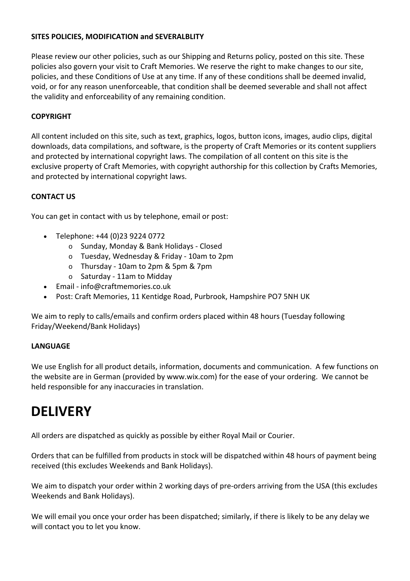#### **SITES POLICIES, MODIFICATION and SEVERALBLITY**

Please review our other policies, such as our Shipping and Returns policy, posted on this site. These policies also govern your visit to Craft Memories. We reserve the right to make changes to our site, policies, and these Conditions of Use at any time. If any of these conditions shall be deemed invalid, void, or for any reason unenforceable, that condition shall be deemed severable and shall not affect the validity and enforceability of any remaining condition.

#### **COPYRIGHT**

All content included on this site, such as text, graphics, logos, button icons, images, audio clips, digital downloads, data compilations, and software, is the property of Craft Memories or its content suppliers and protected by international copyright laws. The compilation of all content on this site is the exclusive property of Craft Memories, with copyright authorship for this collection by Crafts Memories, and protected by international copyright laws.

#### **CONTACT US**

You can get in contact with us by telephone, email or post:

- Telephone: +44 (0)23 9224 0772
	- o Sunday, Monday & Bank Holidays ‐ Closed
	- o Tuesday, Wednesday & Friday ‐ 10am to 2pm
	- o Thursday ‐ 10am to 2pm & 5pm & 7pm
	- o Saturday ‐ 11am to Midday
- Email ‐ info@craftmemories.co.uk
- Post: Craft Memories, 11 Kentidge Road, Purbrook, Hampshire PO7 5NH UK

We aim to reply to calls/emails and confirm orders placed within 48 hours (Tuesday following Friday/Weekend/Bank Holidays)

#### **LANGUAGE**

We use English for all product details, information, documents and communication. A few functions on the website are in German (provided by www.wix.com) for the ease of your ordering. We cannot be held responsible for any inaccuracies in translation.

# **DELIVERY**

All orders are dispatched as quickly as possible by either Royal Mail or Courier.

Orders that can be fulfilled from products in stock will be dispatched within 48 hours of payment being received (this excludes Weekends and Bank Holidays).

We aim to dispatch your order within 2 working days of pre-orders arriving from the USA (this excludes Weekends and Bank Holidays).

We will email you once your order has been dispatched; similarly, if there is likely to be any delay we will contact you to let you know.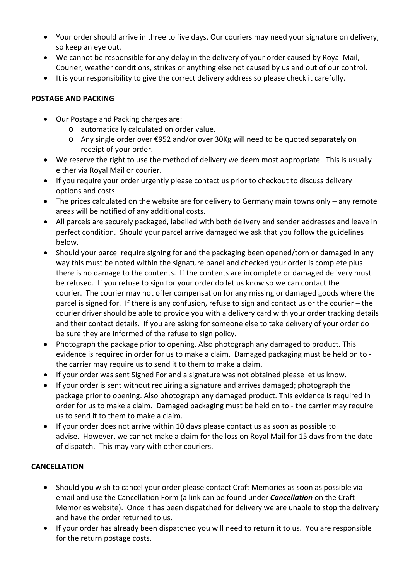- Your order should arrive in three to five days. Our couriers may need your signature on delivery, so keep an eye out.
- We cannot be responsible for any delay in the delivery of your order caused by Royal Mail, Courier, weather conditions, strikes or anything else not caused by us and out of our control.
- It is your responsibility to give the correct delivery address so please check it carefully.

## **POSTAGE AND PACKING**

- Our Postage and Packing charges are:
	- o automatically calculated on order value.
	- o Any single order over €952 and/or over 30Kg will need to be quoted separately on receipt of your order.
- We reserve the right to use the method of delivery we deem most appropriate. This is usually either via Royal Mail or courier.
- If you require your order urgently please contact us prior to checkout to discuss delivery options and costs
- The prices calculated on the website are for delivery to Germany main towns only any remote areas will be notified of any additional costs.
- All parcels are securely packaged, labelled with both delivery and sender addresses and leave in perfect condition. Should your parcel arrive damaged we ask that you follow the guidelines below.
- Should your parcel require signing for and the packaging been opened/torn or damaged in any way this must be noted within the signature panel and checked your order is complete plus there is no damage to the contents. If the contents are incomplete or damaged delivery must be refused. If you refuse to sign for your order do let us know so we can contact the courier. The courier may not offer compensation for any missing or damaged goods where the parcel is signed for. If there is any confusion, refuse to sign and contact us or the courier – the courier driver should be able to provide you with a delivery card with your order tracking details and their contact details. If you are asking for someone else to take delivery of your order do be sure they are informed of the refuse to sign policy.
- Photograph the package prior to opening. Also photograph any damaged to product. This evidence is required in order for us to make a claim. Damaged packaging must be held on to ‐ the carrier may require us to send it to them to make a claim.
- If your order was sent Signed For and a signature was not obtained please let us know.
- If your order is sent without requiring a signature and arrives damaged; photograph the package prior to opening. Also photograph any damaged product. This evidence is required in order for us to make a claim. Damaged packaging must be held on to ‐ the carrier may require us to send it to them to make a claim.
- If your order does not arrive within 10 days please contact us as soon as possible to advise. However, we cannot make a claim for the loss on Royal Mail for 15 days from the date of dispatch. This may vary with other couriers.

# **CANCELLATION**

- Should you wish to cancel your order please contact Craft Memories as soon as possible via email and use the Cancellation Form (a link can be found under *Cancellation* on the Craft Memories website). Once it has been dispatched for delivery we are unable to stop the delivery and have the order returned to us.
- If your order has already been dispatched you will need to return it to us. You are responsible for the return postage costs.